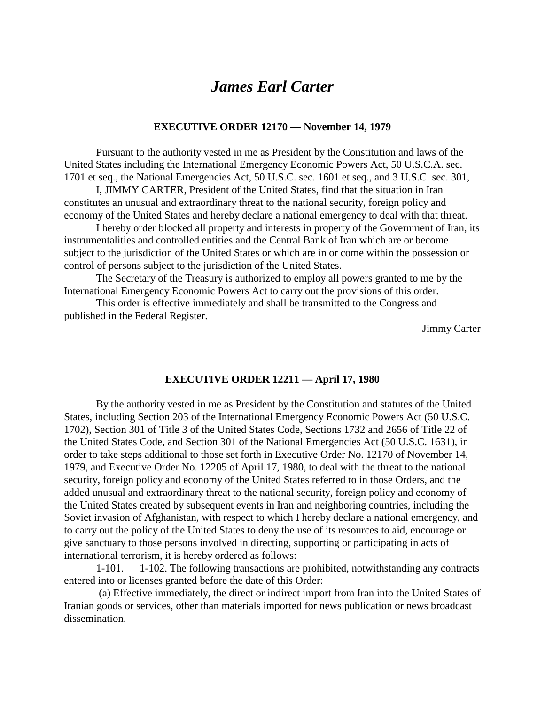## *James Earl Carter*

## **EXECUTIVE ORDER 12170 — November 14, 1979**

Pursuant to the authority vested in me as President by the Constitution and laws of the United States including the International Emergency Economic Powers Act, 50 U.S.C.A. sec. 1701 et seq., the National Emergencies Act, 50 U.S.C. sec. 1601 et seq., and 3 U.S.C. sec. 301,

I, JIMMY CARTER, President of the United States, find that the situation in Iran constitutes an unusual and extraordinary threat to the national security, foreign policy and economy of the United States and hereby declare a national emergency to deal with that threat.

I hereby order blocked all property and interests in property of the Government of Iran, its instrumentalities and controlled entities and the Central Bank of Iran which are or become subject to the jurisdiction of the United States or which are in or come within the possession or control of persons subject to the jurisdiction of the United States.

The Secretary of the Treasury is authorized to employ all powers granted to me by the International Emergency Economic Powers Act to carry out the provisions of this order.

This order is effective immediately and shall be transmitted to the Congress and published in the Federal Register.

Jimmy Carter

## **EXECUTIVE ORDER 12211 — April 17, 1980**

By the authority vested in me as President by the Constitution and statutes of the United States, including Section 203 of the International Emergency Economic Powers Act (50 U.S.C. 1702), Section 301 of Title 3 of the United States Code, Sections 1732 and 2656 of Title 22 of the United States Code, and Section 301 of the National Emergencies Act (50 U.S.C. 1631), in order to take steps additional to those set forth in Executive Order No. 12170 of November 14, 1979, and Executive Order No. 12205 of April 17, 1980, to deal with the threat to the national security, foreign policy and economy of the United States referred to in those Orders, and the added unusual and extraordinary threat to the national security, foreign policy and economy of the United States created by subsequent events in Iran and neighboring countries, including the Soviet invasion of Afghanistan, with respect to which I hereby declare a national emergency, and to carry out the policy of the United States to deny the use of its resources to aid, encourage or give sanctuary to those persons involved in directing, supporting or participating in acts of international terrorism, it is hereby ordered as follows:

1-101. 1-102. The following transactions are prohibited, notwithstanding any contracts entered into or licenses granted before the date of this Order:

 (a) Effective immediately, the direct or indirect import from Iran into the United States of Iranian goods or services, other than materials imported for news publication or news broadcast dissemination.